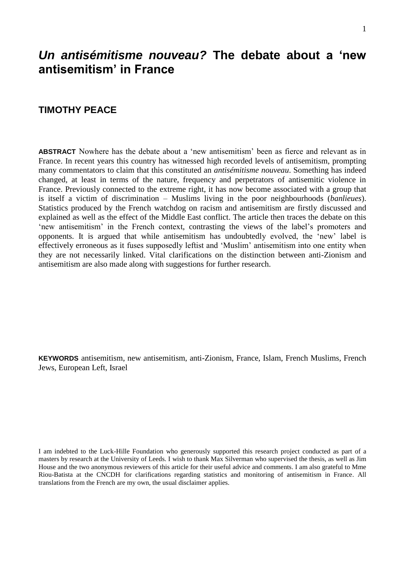# *Un antisémitisme nouveau?* **The debate about a 'new antisemitism' in France**

## **TIMOTHY PEACE**

**ABSTRACT** Nowhere has the debate about a 'new antisemitism' been as fierce and relevant as in France. In recent years this country has witnessed high recorded levels of antisemitism, prompting many commentators to claim that this constituted an *antisémitisme nouveau*. Something has indeed changed, at least in terms of the nature, frequency and perpetrators of antisemitic violence in France. Previously connected to the extreme right, it has now become associated with a group that is itself a victim of discrimination – Muslims living in the poor neighbourhoods (*banlieues*). Statistics produced by the French watchdog on racism and antisemitism are firstly discussed and explained as well as the effect of the Middle East conflict. The article then traces the debate on this 'new antisemitism' in the French context, contrasting the views of the label's promoters and opponents. It is argued that while antisemitism has undoubtedly evolved, the 'new' label is effectively erroneous as it fuses supposedly leftist and 'Muslim' antisemitism into one entity when they are not necessarily linked. Vital clarifications on the distinction between anti-Zionism and antisemitism are also made along with suggestions for further research.

**KEYWORDS** antisemitism, new antisemitism, anti-Zionism, France, Islam, French Muslims, French Jews, European Left, Israel

I am indebted to the Luck-Hille Foundation who generously supported this research project conducted as part of a masters by research at the University of Leeds. I wish to thank Max Silverman who supervised the thesis, as well as Jim House and the two anonymous reviewers of this article for their useful advice and comments. I am also grateful to Mme Riou-Batista at the CNCDH for clarifications regarding statistics and monitoring of antisemitism in France. All translations from the French are my own, the usual disclaimer applies.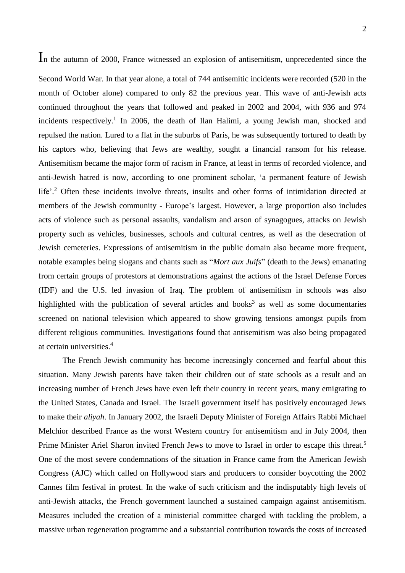In the autumn of 2000, France witnessed an explosion of antisemitism, unprecedented since the

Second World War. In that year alone, a total of 744 antisemitic incidents were recorded (520 in the month of October alone) compared to only 82 the previous year. This wave of anti-Jewish acts continued throughout the years that followed and peaked in 2002 and 2004, with 936 and 974 incidents respectively.<sup>1</sup> In 2006, the death of Ilan Halimi, a young Jewish man, shocked and repulsed the nation. Lured to a flat in the suburbs of Paris, he was subsequently tortured to death by his captors who, believing that Jews are wealthy, sought a financial ransom for his release. Antisemitism became the major form of racism in France, at least in terms of recorded violence, and anti-Jewish hatred is now, according to one prominent scholar, 'a permanent feature of Jewish life'.<sup>2</sup> Often these incidents involve threats, insults and other forms of intimidation directed at members of the Jewish community - Europe's largest. However, a large proportion also includes acts of violence such as personal assaults, vandalism and arson of synagogues, attacks on Jewish property such as vehicles, businesses, schools and cultural centres, as well as the desecration of Jewish cemeteries. Expressions of antisemitism in the public domain also became more frequent, notable examples being slogans and chants such as "*Mort aux Juifs*" (death to the Jews) emanating from certain groups of protestors at demonstrations against the actions of the Israel Defense Forces (IDF) and the U.S. led invasion of Iraq. The problem of antisemitism in schools was also highlighted with the publication of several articles and books<sup>3</sup> as well as some documentaries screened on national television which appeared to show growing tensions amongst pupils from different religious communities. Investigations found that antisemitism was also being propagated at certain universities. 4

The French Jewish community has become increasingly concerned and fearful about this situation. Many Jewish parents have taken their children out of state schools as a result and an increasing number of French Jews have even left their country in recent years, many emigrating to the United States, Canada and Israel. The Israeli government itself has positively encouraged Jews to make their *aliyah*. In January 2002, the Israeli Deputy Minister of Foreign Affairs Rabbi Michael Melchior described France as the worst Western country for antisemitism and in July 2004, then Prime Minister Ariel Sharon invited French Jews to move to Israel in order to escape this threat.<sup>5</sup> One of the most severe condemnations of the situation in France came from the American Jewish Congress (AJC) which called on Hollywood stars and producers to consider boycotting the 2002 Cannes film festival in protest. In the wake of such criticism and the indisputably high levels of anti-Jewish attacks, the French government launched a sustained campaign against antisemitism. Measures included the creation of a ministerial committee charged with tackling the problem, a massive urban regeneration programme and a substantial contribution towards the costs of increased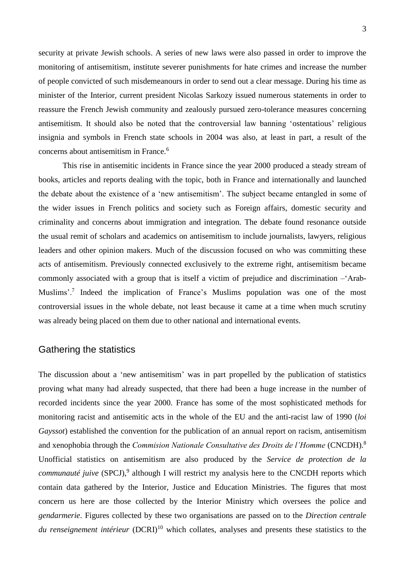security at private Jewish schools. A series of new laws were also passed in order to improve the monitoring of antisemitism, institute severer punishments for hate crimes and increase the number of people convicted of such misdemeanours in order to send out a clear message. During his time as minister of the Interior, current president Nicolas Sarkozy issued numerous statements in order to reassure the French Jewish community and zealously pursued zero-tolerance measures concerning antisemitism. It should also be noted that the controversial law banning 'ostentatious' religious insignia and symbols in French state schools in 2004 was also, at least in part, a result of the concerns about antisemitism in France.<sup>6</sup>

This rise in antisemitic incidents in France since the year 2000 produced a steady stream of books, articles and reports dealing with the topic, both in France and internationally and launched the debate about the existence of a 'new antisemitism'. The subject became entangled in some of the wider issues in French politics and society such as Foreign affairs, domestic security and criminality and concerns about immigration and integration. The debate found resonance outside the usual remit of scholars and academics on antisemitism to include journalists, lawyers, religious leaders and other opinion makers. Much of the discussion focused on who was committing these acts of antisemitism. Previously connected exclusively to the extreme right, antisemitism became commonly associated with a group that is itself a victim of prejudice and discrimination –'Arab-Muslims'.<sup>7</sup> Indeed the implication of France's Muslims population was one of the most controversial issues in the whole debate, not least because it came at a time when much scrutiny was already being placed on them due to other national and international events.

## Gathering the statistics

The discussion about a 'new antisemitism' was in part propelled by the publication of statistics proving what many had already suspected, that there had been a huge increase in the number of recorded incidents since the year 2000. France has some of the most sophisticated methods for monitoring racist and antisemitic acts in the whole of the EU and the anti-racist law of 1990 (*loi Gayssot*) established the convention for the publication of an annual report on racism, antisemitism and xenophobia through the *Commision Nationale Consultative des Droits de l'Homme* (CNCDH).<sup>8</sup> Unofficial statistics on antisemitism are also produced by the *Service de protection de la communauté juive* (SPCJ),<sup>9</sup> although I will restrict my analysis here to the CNCDH reports which contain data gathered by the Interior, Justice and Education Ministries. The figures that most concern us here are those collected by the Interior Ministry which oversees the police and *gendarmerie*. Figures collected by these two organisations are passed on to the *Direction centrale du renseignement intérieur* (DCRI)<sup>10</sup> which collates, analyses and presents these statistics to the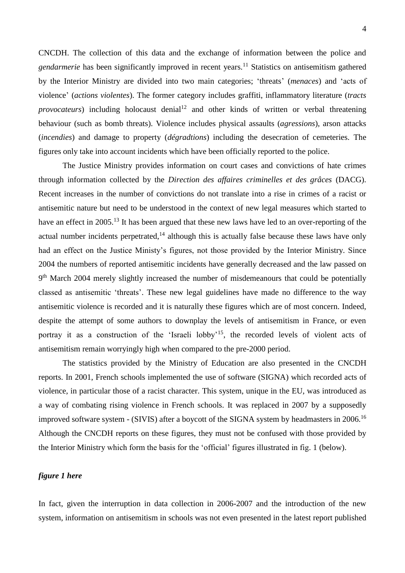CNCDH. The collection of this data and the exchange of information between the police and *gendarmerie* has been significantly improved in recent years.<sup>11</sup> Statistics on antisemitism gathered by the Interior Ministry are divided into two main categories; 'threats' (*menaces*) and 'acts of violence' (*actions violentes*). The former category includes graffiti, inflammatory literature (*tracts provocateurs*) including holocaust denial<sup>12</sup> and other kinds of written or verbal threatening behaviour (such as bomb threats). Violence includes physical assaults (*agressions*), arson attacks (*incendies*) and damage to property (*dégradtions*) including the desecration of cemeteries. The figures only take into account incidents which have been officially reported to the police.

The Justice Ministry provides information on court cases and convictions of hate crimes through information collected by the *Direction des affaires criminelles et des grâces* (DACG). Recent increases in the number of convictions do not translate into a rise in crimes of a racist or antisemitic nature but need to be understood in the context of new legal measures which started to have an effect in 2005.<sup>13</sup> It has been argued that these new laws have led to an over-reporting of the actual number incidents perpetrated,  $14$  although this is actually false because these laws have only had an effect on the Justice Ministy's figures, not those provided by the Interior Ministry. Since 2004 the numbers of reported antisemitic incidents have generally decreased and the law passed on 9<sup>th</sup> March 2004 merely slightly increased the number of misdemeanours that could be potentially classed as antisemitic 'threats'. These new legal guidelines have made no difference to the way antisemitic violence is recorded and it is naturally these figures which are of most concern. Indeed, despite the attempt of some authors to downplay the levels of antisemitism in France, or even portray it as a construction of the 'Israeli lobby'<sup>15</sup>, the recorded levels of violent acts of antisemitism remain worryingly high when compared to the pre-2000 period.

The statistics provided by the Ministry of Education are also presented in the CNCDH reports. In 2001, French schools implemented the use of software (SIGNA) which recorded acts of violence, in particular those of a racist character. This system, unique in the EU, was introduced as a way of combating rising violence in French schools. It was replaced in 2007 by a supposedly improved software system - (SIVIS) after a boycott of the SIGNA system by headmasters in 2006.<sup>16</sup> Although the CNCDH reports on these figures, they must not be confused with those provided by the Interior Ministry which form the basis for the 'official' figures illustrated in fig. 1 (below).

#### *figure 1 here*

In fact, given the interruption in data collection in 2006-2007 and the introduction of the new system, information on antisemitism in schools was not even presented in the latest report published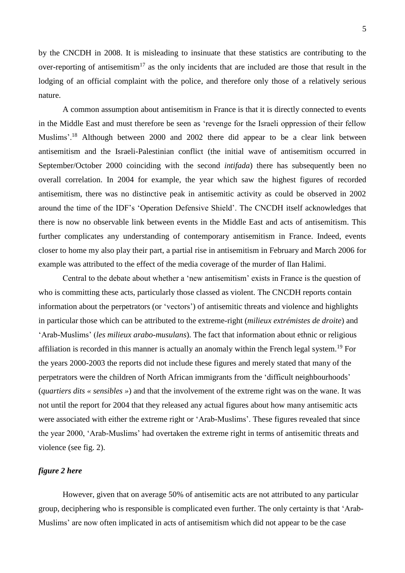by the CNCDH in 2008. It is misleading to insinuate that these statistics are contributing to the over-reporting of antisemitism<sup>17</sup> as the only incidents that are included are those that result in the lodging of an official complaint with the police, and therefore only those of a relatively serious nature.

A common assumption about antisemitism in France is that it is directly connected to events in the Middle East and must therefore be seen as 'revenge for the Israeli oppression of their fellow Muslims'.<sup>18</sup> Although between 2000 and 2002 there did appear to be a clear link between antisemitism and the Israeli-Palestinian conflict (the initial wave of antisemitism occurred in September/October 2000 coinciding with the second *intifada*) there has subsequently been no overall correlation. In 2004 for example, the year which saw the highest figures of recorded antisemitism, there was no distinctive peak in antisemitic activity as could be observed in 2002 around the time of the IDF's 'Operation Defensive Shield'. The CNCDH itself acknowledges that there is now no observable link between events in the Middle East and acts of antisemitism. This further complicates any understanding of contemporary antisemitism in France. Indeed, events closer to home my also play their part, a partial rise in antisemitism in February and March 2006 for example was attributed to the effect of the media coverage of the murder of Ilan Halimi.

Central to the debate about whether a 'new antisemitism' exists in France is the question of who is committing these acts, particularly those classed as violent. The CNCDH reports contain information about the perpetrators (or 'vectors') of antisemitic threats and violence and highlights in particular those which can be attributed to the extreme-right (*milieux extrémistes de droite*) and 'Arab-Muslims' (*les milieux arabo-musulans*). The fact that information about ethnic or religious affiliation is recorded in this manner is actually an anomaly within the French legal system.<sup>19</sup> For the years 2000-2003 the reports did not include these figures and merely stated that many of the perpetrators were the children of North African immigrants from the 'difficult neighbourhoods' (*quartiers dits « sensibles »*) and that the involvement of the extreme right was on the wane. It was not until the report for 2004 that they released any actual figures about how many antisemitic acts were associated with either the extreme right or 'Arab-Muslims'. These figures revealed that since the year 2000, 'Arab-Muslims' had overtaken the extreme right in terms of antisemitic threats and violence (see fig. 2).

#### *figure 2 here*

However, given that on average 50% of antisemitic acts are not attributed to any particular group, deciphering who is responsible is complicated even further. The only certainty is that 'Arab-Muslims' are now often implicated in acts of antisemitism which did not appear to be the case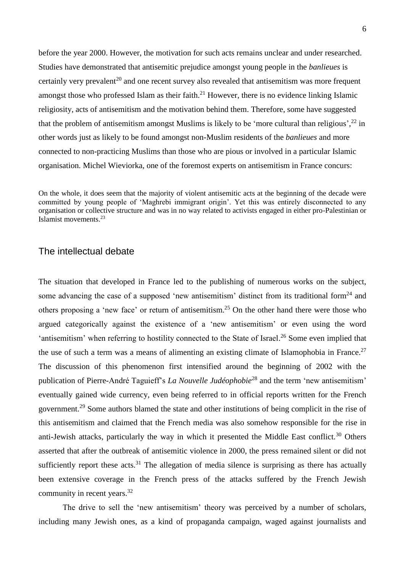before the year 2000. However, the motivation for such acts remains unclear and under researched. Studies have demonstrated that antisemitic prejudice amongst young people in the *banlieues* is certainly very prevalent<sup>20</sup> and one recent survey also revealed that antisemitism was more frequent amongst those who professed Islam as their faith.<sup>21</sup> However, there is no evidence linking Islamic religiosity, acts of antisemitism and the motivation behind them. Therefore, some have suggested that the problem of antisemitism amongst Muslims is likely to be 'more cultural than religious', $^{22}$  in other words just as likely to be found amongst non-Muslim residents of the *banlieues* and more connected to non-practicing Muslims than those who are pious or involved in a particular Islamic organisation. Michel Wieviorka, one of the foremost experts on antisemitism in France concurs:

On the whole, it does seem that the majority of violent antisemitic acts at the beginning of the decade were committed by young people of 'Maghrebi immigrant origin'. Yet this was entirely disconnected to any organisation or collective structure and was in no way related to activists engaged in either pro-Palestinian or Islamist movements.<sup>23</sup>

## The intellectual debate

The situation that developed in France led to the publishing of numerous works on the subject, some advancing the case of a supposed 'new antisemitism' distinct from its traditional form<sup>24</sup> and others proposing a 'new face' or return of antisemitism.<sup>25</sup> On the other hand there were those who argued categorically against the existence of a 'new antisemitism' or even using the word 'antisemitism' when referring to hostility connected to the State of Israel.<sup>26</sup> Some even implied that the use of such a term was a means of alimenting an existing climate of Islamophobia in France.<sup>27</sup> The discussion of this phenomenon first intensified around the beginning of 2002 with the publication of Pierre-André Taguieff's *La Nouvelle Judéophobie*<sup>28</sup> and the term 'new antisemitism' eventually gained wide currency, even being referred to in official reports written for the French government.<sup>29</sup> Some authors blamed the state and other institutions of being complicit in the rise of this antisemitism and claimed that the French media was also somehow responsible for the rise in anti-Jewish attacks, particularly the way in which it presented the Middle East conflict.<sup>30</sup> Others asserted that after the outbreak of antisemitic violence in 2000, the press remained silent or did not sufficiently report these acts.<sup>31</sup> The allegation of media silence is surprising as there has actually been extensive coverage in the French press of the attacks suffered by the French Jewish community in recent years.<sup>32</sup>

The drive to sell the 'new antisemitism' theory was perceived by a number of scholars, including many Jewish ones, as a kind of propaganda campaign, waged against journalists and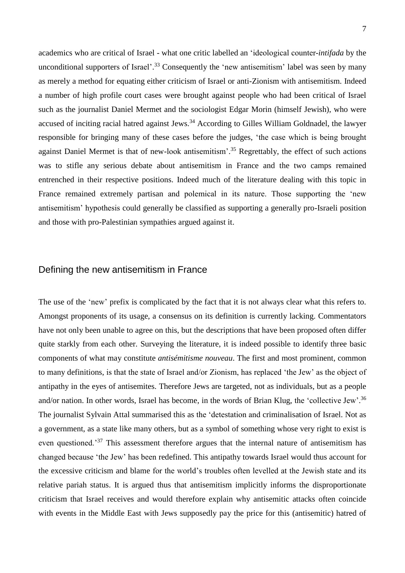academics who are critical of Israel - what one critic labelled an 'ideological counter-*intifada* by the unconditional supporters of Israel'.<sup>33</sup> Consequently the 'new antisemitism' label was seen by many as merely a method for equating either criticism of Israel or anti-Zionism with antisemitism. Indeed a number of high profile court cases were brought against people who had been critical of Israel such as the journalist Daniel Mermet and the sociologist Edgar Morin (himself Jewish), who were accused of inciting racial hatred against Jews.<sup>34</sup> According to Gilles William Goldnadel, the lawyer responsible for bringing many of these cases before the judges, 'the case which is being brought against Daniel Mermet is that of new-look antisemitism'.<sup>35</sup> Regrettably, the effect of such actions was to stifle any serious debate about antisemitism in France and the two camps remained entrenched in their respective positions. Indeed much of the literature dealing with this topic in France remained extremely partisan and polemical in its nature. Those supporting the 'new antisemitism' hypothesis could generally be classified as supporting a generally pro-Israeli position and those with pro-Palestinian sympathies argued against it.

### Defining the new antisemitism in France

The use of the 'new' prefix is complicated by the fact that it is not always clear what this refers to. Amongst proponents of its usage, a consensus on its definition is currently lacking. Commentators have not only been unable to agree on this, but the descriptions that have been proposed often differ quite starkly from each other. Surveying the literature, it is indeed possible to identify three basic components of what may constitute *antisémitisme nouveau*. The first and most prominent, common to many definitions, is that the state of Israel and/or Zionism, has replaced 'the Jew' as the object of antipathy in the eyes of antisemites. Therefore Jews are targeted, not as individuals, but as a people and/or nation. In other words, Israel has become, in the words of Brian Klug, the 'collective Jew'.<sup>36</sup> The journalist Sylvain Attal summarised this as the 'detestation and criminalisation of Israel. Not as a government, as a state like many others, but as a symbol of something whose very right to exist is even questioned.<sup>37</sup> This assessment therefore argues that the internal nature of antisemitism has changed because 'the Jew' has been redefined. This antipathy towards Israel would thus account for the excessive criticism and blame for the world's troubles often levelled at the Jewish state and its relative pariah status. It is argued thus that antisemitism implicitly informs the disproportionate criticism that Israel receives and would therefore explain why antisemitic attacks often coincide with events in the Middle East with Jews supposedly pay the price for this (antisemitic) hatred of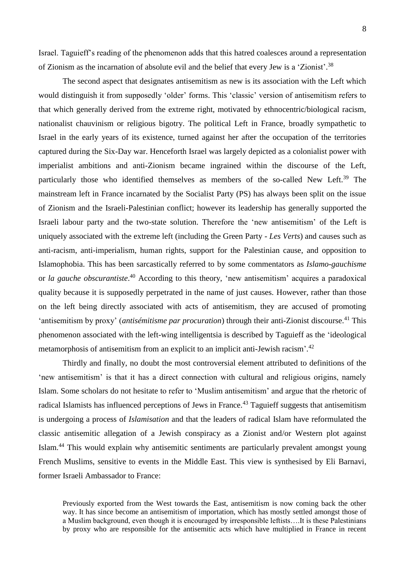Israel. Taguieff's reading of the phenomenon adds that this hatred coalesces around a representation of Zionism as the incarnation of absolute evil and the belief that every Jew is a 'Zionist'.<sup>38</sup>

The second aspect that designates antisemitism as new is its association with the Left which would distinguish it from supposedly 'older' forms. This 'classic' version of antisemitism refers to that which generally derived from the extreme right, motivated by ethnocentric/biological racism, nationalist chauvinism or religious bigotry. The political Left in France, broadly sympathetic to Israel in the early years of its existence, turned against her after the occupation of the territories captured during the Six-Day war. Henceforth Israel was largely depicted as a colonialist power with imperialist ambitions and anti-Zionism became ingrained within the discourse of the Left, particularly those who identified themselves as members of the so-called New Left.<sup>39</sup> The mainstream left in France incarnated by the Socialist Party (PS) has always been split on the issue of Zionism and the Israeli-Palestinian conflict; however its leadership has generally supported the Israeli labour party and the two-state solution. Therefore the 'new antisemitism' of the Left is uniquely associated with the extreme left (including the Green Party - *Les Verts*) and causes such as anti-racism, anti-imperialism, human rights, support for the Palestinian cause, and opposition to Islamophobia. This has been sarcastically referred to by some commentators as *Islamo-gauchisme*  or *la gauche obscurantiste*. <sup>40</sup> According to this theory, 'new antisemitism' acquires a paradoxical quality because it is supposedly perpetrated in the name of just causes. However, rather than those on the left being directly associated with acts of antisemitism, they are accused of promoting 'antisemitism by proxy' (*antisémitisme par procuration*) through their anti-Zionist discourse.<sup>41</sup> This phenomenon associated with the left-wing intelligentsia is described by Taguieff as the 'ideological metamorphosis of antisemitism from an explicit to an implicit anti-Jewish racism'.<sup>42</sup>

Thirdly and finally, no doubt the most controversial element attributed to definitions of the 'new antisemitism' is that it has a direct connection with cultural and religious origins, namely Islam. Some scholars do not hesitate to refer to 'Muslim antisemitism' and argue that the rhetoric of radical Islamists has influenced perceptions of Jews in France.<sup>43</sup> Taguieff suggests that antisemitism is undergoing a process of *Islamisation* and that the leaders of radical Islam have reformulated the classic antisemitic allegation of a Jewish conspiracy as a Zionist and/or Western plot against Islam. <sup>44</sup> This would explain why antisemitic sentiments are particularly prevalent amongst young French Muslims, sensitive to events in the Middle East. This view is synthesised by Eli Barnavi, former Israeli Ambassador to France:

Previously exported from the West towards the East, antisemitism is now coming back the other way. It has since become an antisemitism of importation, which has mostly settled amongst those of a Muslim background, even though it is encouraged by irresponsible leftists….It is these Palestinians by proxy who are responsible for the antisemitic acts which have multiplied in France in recent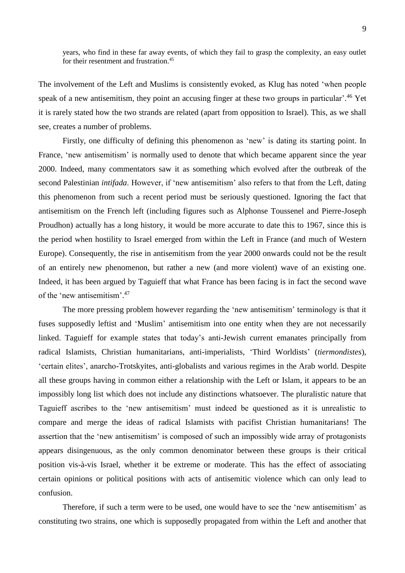years, who find in these far away events, of which they fail to grasp the complexity, an easy outlet for their resentment and frustration.<sup>45</sup>

The involvement of the Left and Muslims is consistently evoked, as Klug has noted 'when people speak of a new antisemitism, they point an accusing finger at these two groups in particular'.<sup>46</sup> Yet it is rarely stated how the two strands are related (apart from opposition to Israel). This, as we shall see, creates a number of problems.

Firstly, one difficulty of defining this phenomenon as 'new' is dating its starting point. In France, 'new antisemitism' is normally used to denote that which became apparent since the year 2000. Indeed, many commentators saw it as something which evolved after the outbreak of the second Palestinian *intifada*. However, if 'new antisemitism' also refers to that from the Left, dating this phenomenon from such a recent period must be seriously questioned. Ignoring the fact that antisemitism on the French left (including figures such as Alphonse Toussenel and Pierre-Joseph Proudhon) actually has a long history, it would be more accurate to date this to 1967, since this is the period when hostility to Israel emerged from within the Left in France (and much of Western Europe). Consequently, the rise in antisemitism from the year 2000 onwards could not be the result of an entirely new phenomenon, but rather a new (and more violent) wave of an existing one. Indeed, it has been argued by Taguieff that what France has been facing is in fact the second wave of the 'new antisemitism'. 47

The more pressing problem however regarding the 'new antisemitism' terminology is that it fuses supposedly leftist and 'Muslim' antisemitism into one entity when they are not necessarily linked. Taguieff for example states that today's anti-Jewish current emanates principally from radical Islamists, Christian humanitarians, anti-imperialists, 'Third Worldists' (*tiermondistes*), 'certain elites', anarcho-Trotskyites, anti-globalists and various regimes in the Arab world. Despite all these groups having in common either a relationship with the Left or Islam, it appears to be an impossibly long list which does not include any distinctions whatsoever. The pluralistic nature that Taguieff ascribes to the 'new antisemitism' must indeed be questioned as it is unrealistic to compare and merge the ideas of radical Islamists with pacifist Christian humanitarians! The assertion that the 'new antisemitism' is composed of such an impossibly wide array of protagonists appears disingenuous, as the only common denominator between these groups is their critical position vis-à-vis Israel, whether it be extreme or moderate. This has the effect of associating certain opinions or political positions with acts of antisemitic violence which can only lead to confusion.

Therefore, if such a term were to be used, one would have to see the 'new antisemitism' as constituting two strains, one which is supposedly propagated from within the Left and another that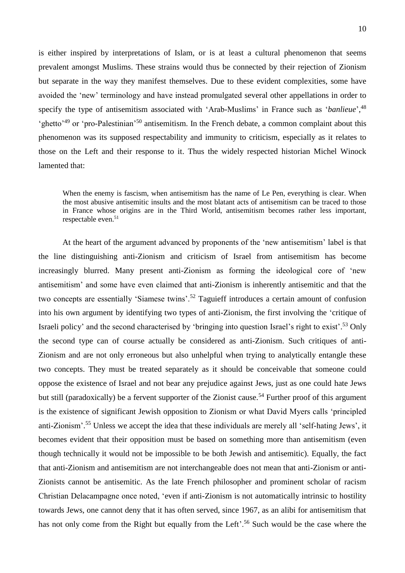is either inspired by interpretations of Islam, or is at least a cultural phenomenon that seems prevalent amongst Muslims. These strains would thus be connected by their rejection of Zionism but separate in the way they manifest themselves. Due to these evident complexities, some have avoided the 'new' terminology and have instead promulgated several other appellations in order to specify the type of antisemitism associated with 'Arab-Muslims' in France such as '*banlieue*', 48 'ghetto'<sup>49</sup> or 'pro-Palestinian'<sup>50</sup> antisemitism. In the French debate, a common complaint about this phenomenon was its supposed respectability and immunity to criticism, especially as it relates to those on the Left and their response to it. Thus the widely respected historian Michel Winock lamented that:

When the enemy is fascism, when antisemitism has the name of Le Pen, everything is clear. When the most abusive antisemitic insults and the most blatant acts of antisemitism can be traced to those in France whose origins are in the Third World, antisemitism becomes rather less important, respectable even.<sup>51</sup>

At the heart of the argument advanced by proponents of the 'new antisemitism' label is that the line distinguishing anti-Zionism and criticism of Israel from antisemitism has become increasingly blurred. Many present anti-Zionism as forming the ideological core of 'new antisemitism' and some have even claimed that anti-Zionism is inherently antisemitic and that the two concepts are essentially 'Siamese twins'.<sup>52</sup> Taguieff introduces a certain amount of confusion into his own argument by identifying two types of anti-Zionism, the first involving the 'critique of Israeli policy' and the second characterised by 'bringing into question Israel's right to exist'. <sup>53</sup> Only the second type can of course actually be considered as anti-Zionism. Such critiques of anti-Zionism and are not only erroneous but also unhelpful when trying to analytically entangle these two concepts. They must be treated separately as it should be conceivable that someone could oppose the existence of Israel and not bear any prejudice against Jews, just as one could hate Jews but still (paradoxically) be a fervent supporter of the Zionist cause.<sup>54</sup> Further proof of this argument is the existence of significant Jewish opposition to Zionism or what David Myers calls 'principled anti-Zionism'. <sup>55</sup> Unless we accept the idea that these individuals are merely all 'self-hating Jews', it becomes evident that their opposition must be based on something more than antisemitism (even though technically it would not be impossible to be both Jewish and antisemitic). Equally, the fact that anti-Zionism and antisemitism are not interchangeable does not mean that anti-Zionism or anti-Zionists cannot be antisemitic. As the late French philosopher and prominent scholar of racism Christian Delacampagne once noted, 'even if anti-Zionism is not automatically intrinsic to hostility towards Jews, one cannot deny that it has often served, since 1967, as an alibi for antisemitism that has not only come from the Right but equally from the Left'.<sup>56</sup> Such would be the case where the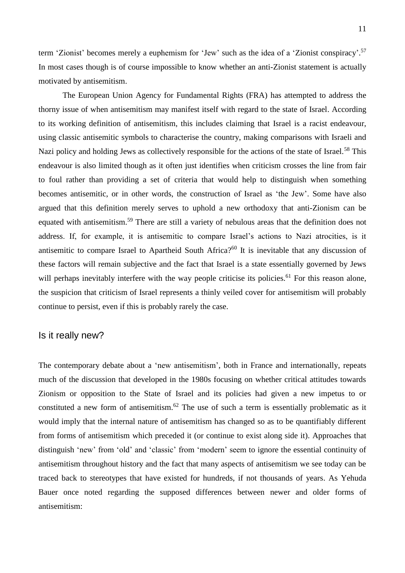term 'Zionist' becomes merely a euphemism for 'Jew' such as the idea of a 'Zionist conspiracy'. 57 In most cases though is of course impossible to know whether an anti-Zionist statement is actually motivated by antisemitism.

The European Union Agency for Fundamental Rights (FRA) has attempted to address the thorny issue of when antisemitism may manifest itself with regard to the state of Israel. According to its working definition of antisemitism, this includes claiming that Israel is a racist endeavour, using classic antisemitic symbols to characterise the country, making comparisons with Israeli and Nazi policy and holding Jews as collectively responsible for the actions of the state of Israel.<sup>58</sup> This endeavour is also limited though as it often just identifies when criticism crosses the line from fair to foul rather than providing a set of criteria that would help to distinguish when something becomes antisemitic, or in other words, the construction of Israel as 'the Jew'. Some have also argued that this definition merely serves to uphold a new orthodoxy that anti-Zionism can be equated with antisemitism.<sup>59</sup> There are still a variety of nebulous areas that the definition does not address. If, for example, it is antisemitic to compare Israel's actions to Nazi atrocities, is it antisemitic to compare Israel to Apartheid South Africa?<sup>60</sup> It is inevitable that any discussion of these factors will remain subjective and the fact that Israel is a state essentially governed by Jews will perhaps inevitably interfere with the way people criticise its policies.<sup>61</sup> For this reason alone, the suspicion that criticism of Israel represents a thinly veiled cover for antisemitism will probably continue to persist, even if this is probably rarely the case.

#### Is it really new?

The contemporary debate about a 'new antisemitism', both in France and internationally, repeats much of the discussion that developed in the 1980s focusing on whether critical attitudes towards Zionism or opposition to the State of Israel and its policies had given a new impetus to or constituted a new form of antisemitism.<sup>62</sup> The use of such a term is essentially problematic as it would imply that the internal nature of antisemitism has changed so as to be quantifiably different from forms of antisemitism which preceded it (or continue to exist along side it). Approaches that distinguish 'new' from 'old' and 'classic' from 'modern' seem to ignore the essential continuity of antisemitism throughout history and the fact that many aspects of antisemitism we see today can be traced back to stereotypes that have existed for hundreds, if not thousands of years. As Yehuda Bauer once noted regarding the supposed differences between newer and older forms of antisemitism: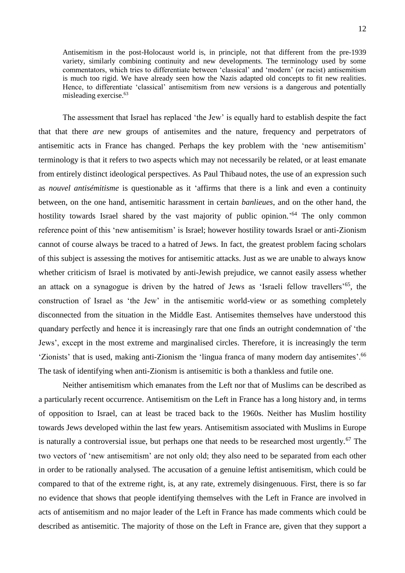Antisemitism in the post-Holocaust world is, in principle, not that different from the pre-1939 variety, similarly combining continuity and new developments. The terminology used by some commentators, which tries to differentiate between 'classical' and 'modern' (or racist) antisemitism is much too rigid. We have already seen how the Nazis adapted old concepts to fit new realities. Hence, to differentiate 'classical' antisemitism from new versions is a dangerous and potentially misleading exercise.<sup>63</sup>

The assessment that Israel has replaced 'the Jew' is equally hard to establish despite the fact that that there *are* new groups of antisemites and the nature, frequency and perpetrators of antisemitic acts in France has changed. Perhaps the key problem with the 'new antisemitism' terminology is that it refers to two aspects which may not necessarily be related, or at least emanate from entirely distinct ideological perspectives. As Paul Thibaud notes, the use of an expression such as *nouvel antisémitisme* is questionable as it 'affirms that there is a link and even a continuity between, on the one hand, antisemitic harassment in certain *banlieues*, and on the other hand, the hostility towards Israel shared by the vast majority of public opinion.<sup>'64</sup> The only common reference point of this 'new antisemitism' is Israel; however hostility towards Israel or anti-Zionism cannot of course always be traced to a hatred of Jews. In fact, the greatest problem facing scholars of this subject is assessing the motives for antisemitic attacks. Just as we are unable to always know whether criticism of Israel is motivated by anti-Jewish prejudice, we cannot easily assess whether an attack on a synagogue is driven by the hatred of Jews as 'Israeli fellow travellers'<sup>65</sup>, the construction of Israel as 'the Jew' in the antisemitic world-view or as something completely disconnected from the situation in the Middle East. Antisemites themselves have understood this quandary perfectly and hence it is increasingly rare that one finds an outright condemnation of 'the Jews', except in the most extreme and marginalised circles. Therefore, it is increasingly the term 'Zionists' that is used, making anti-Zionism the 'lingua franca of many modern day antisemites'.<sup>66</sup> The task of identifying when anti-Zionism is antisemitic is both a thankless and futile one.

Neither antisemitism which emanates from the Left nor that of Muslims can be described as a particularly recent occurrence. Antisemitism on the Left in France has a long history and, in terms of opposition to Israel, can at least be traced back to the 1960s. Neither has Muslim hostility towards Jews developed within the last few years. Antisemitism associated with Muslims in Europe is naturally a controversial issue, but perhaps one that needs to be researched most urgently.<sup>67</sup> The two vectors of 'new antisemitism' are not only old; they also need to be separated from each other in order to be rationally analysed. The accusation of a genuine leftist antisemitism, which could be compared to that of the extreme right, is, at any rate, extremely disingenuous. First, there is so far no evidence that shows that people identifying themselves with the Left in France are involved in acts of antisemitism and no major leader of the Left in France has made comments which could be described as antisemitic. The majority of those on the Left in France are, given that they support a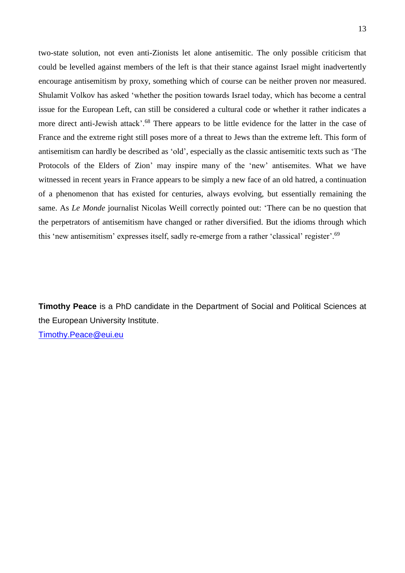two-state solution, not even anti-Zionists let alone antisemitic. The only possible criticism that could be levelled against members of the left is that their stance against Israel might inadvertently encourage antisemitism by proxy, something which of course can be neither proven nor measured. Shulamit Volkov has asked 'whether the position towards Israel today, which has become a central issue for the European Left, can still be considered a cultural code or whether it rather indicates a more direct anti-Jewish attack'.<sup>68</sup> There appears to be little evidence for the latter in the case of France and the extreme right still poses more of a threat to Jews than the extreme left. This form of antisemitism can hardly be described as 'old', especially as the classic antisemitic texts such as 'The Protocols of the Elders of Zion' may inspire many of the 'new' antisemites. What we have witnessed in recent years in France appears to be simply a new face of an old hatred, a continuation of a phenomenon that has existed for centuries, always evolving, but essentially remaining the same. As *Le Monde* journalist Nicolas Weill correctly pointed out: 'There can be no question that the perpetrators of antisemitism have changed or rather diversified. But the idioms through which this 'new antisemitism' expresses itself, sadly re-emerge from a rather 'classical' register'.<sup>69</sup>

**Timothy Peace** is a PhD candidate in the Department of Social and Political Sciences at the European University Institute. [Timothy.Peace@eui.eu](mailto:Timothy.Peace@eui.eu)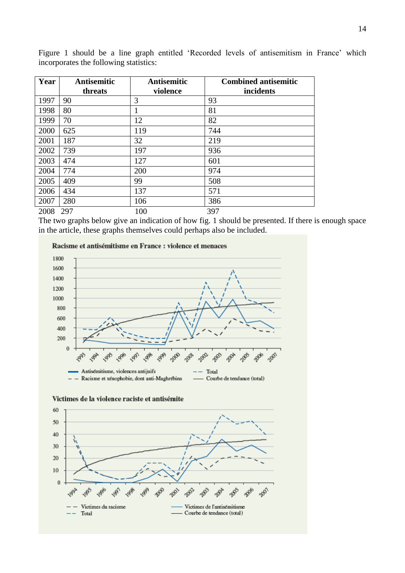| Year | <b>Antisemitic</b><br>threats | <b>Antisemitic</b><br>violence | <b>Combined antisemitic</b><br>incidents |
|------|-------------------------------|--------------------------------|------------------------------------------|
|      |                               |                                |                                          |
| 1997 | 90                            | 3                              | 93                                       |
| 1998 | 80                            |                                | 81                                       |
| 1999 | 70                            | 12                             | 82                                       |
| 2000 | 625                           | 119                            | 744                                      |
| 2001 | 187                           | 32                             | 219                                      |
| 2002 | 739                           | 197                            | 936                                      |
| 2003 | 474                           | 127                            | 601                                      |
| 2004 | 774                           | 200                            | 974                                      |
| 2005 | 409                           | 99                             | 508                                      |
| 2006 | 434                           | 137                            | 571                                      |
| 2007 | 280                           | 106                            | 386                                      |
| 2008 | 297                           | 100                            | 397                                      |

Figure 1 should be a line graph entitled 'Recorded levels of antisemitism in France' which incorporates the following statistics:

The two graphs below give an indication of how fig. 1 should be presented. If there is enough space in the article, these graphs themselves could perhaps also be included.





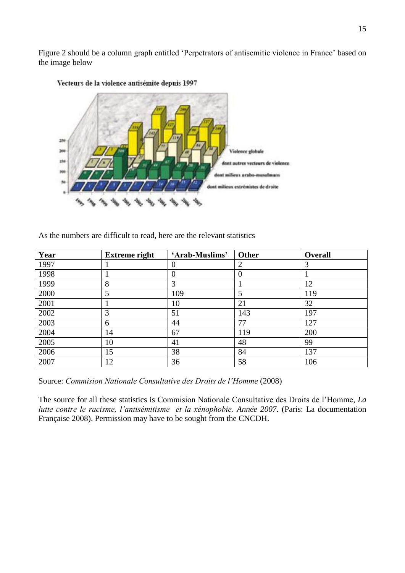Figure 2 should be a column graph entitled 'Perpetrators of antisemitic violence in France' based on the image below



Vecteurs de la violence antisémite depuis 1997

As the numbers are difficult to read, here are the relevant statistics

| Year | <b>Extreme right</b> | 'Arab-Muslims' | <b>Other</b> | Overall |
|------|----------------------|----------------|--------------|---------|
| 1997 |                      |                |              |         |
| 1998 |                      |                |              |         |
| 1999 | 8                    |                |              | 12      |
| 2000 |                      | 109            | 5            | 119     |
| 2001 |                      | 10             | 21           | 32      |
| 2002 | 3                    | 51             | 143          | 197     |
| 2003 | 6                    | 44             | 77           | 127     |
| 2004 | 14                   | 67             | 119          | 200     |
| 2005 | 10                   | 41             | 48           | 99      |
| 2006 | 15                   | 38             | 84           | 137     |
| 2007 | 12                   | 36             | 58           | 106     |

Source: *Commision Nationale Consultative des Droits de l'Homme* (2008)

The source for all these statistics is Commision Nationale Consultative des Droits de l'Homme*, La lutte contre le racisme, l'antisémitisme et la xénophobie. Année 2007*. (Paris: La documentation Française 2008). Permission may have to be sought from the CNCDH.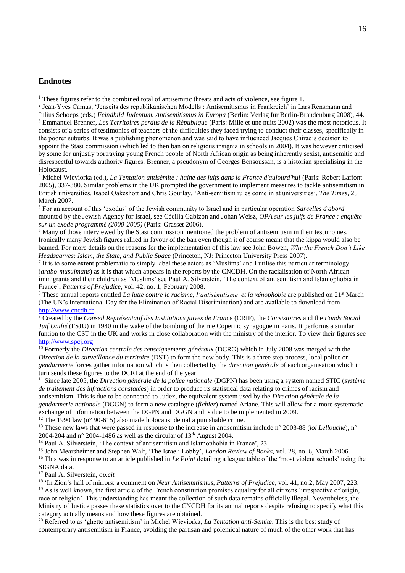#### **Endnotes**

<u>.</u>

<sup>1</sup> These figures refer to the combined total of antisemitic threats and acts of violence, see figure 1.

2 Jean-Yves Camus, 'Jenseits des republikanischen Modells : Antisemitismus in Frankreich' in Lars Rensmann and Julius Schoeps (eds.) *Feindbild Judentum. Antisemitismus in Europa* (Berlin: Verlag für Berlin-Brandenburg 2008), 44. <sup>3</sup> Emmanuel Brenner, *Les Territoires perdus de la République* (Paris: Mille et une nuits 2002) was the most notorious. It consists of a series of testimonies of teachers of the difficulties they faced trying to conduct their classes, specifically in the poorer suburbs. It was a publishing phenomenon and was said to have influenced Jacques Chirac's decision to appoint the Stasi commission (which led to then ban on religious insignia in schools in 2004). It was however criticised by some for unjustly portraying young French people of North African origin as being inherently sexist, antisemitic and disrespectful towards authority figures. Brenner, a pseudonym of Georges Bensoussan, is a historian specialising in the

Holocaust.

<sup>4</sup> Michel Wieviorka (ed.), *La Tentation antisémite : haine des juifs dans la France d'aujourd'hui* (Paris: Robert Laffont 2005), 337-380. Similar problems in the UK prompted the government to implement measures to tackle antisemitism in British universities. Isabel Oakeshott and Chris Gourlay, 'Anti-semitism rules come in at universities', *The Times*, 25 March 2007.

<sup>5</sup> For an account of this 'exodus' of the Jewish community to Israel and in particular operation *Sarcelles d'abord* mounted by the Jewish Agency for Israel, see Cécilia Gabizon and Johan Weisz, *OPA sur les juifs de France : enquête sur un exode programmé (2000-2005)* (Paris: Grasset 2006).

<sup>6</sup> Many of those interviewed by the Stasi commission mentioned the problem of antisemitism in their testimonies. Ironically many Jewish figures rallied in favour of the ban even though it of course meant that the kippa would also be banned. For more details on the reasons for the implementation of this law see John Bowen, *Why the French Don't Like Headscarves: Islam, the State, and Public Space* (Princeton, NJ: Princeton University Press 2007).

<sup>7</sup> It is to some extent problematic to simply label these actors as 'Muslims' and I utilise this particular terminology (*arabo-musulmans*) as it is that which appears in the reports by the CNCDH. On the racialisation of North African immigrants and their children as 'Muslims' see Paul A. Silverstein, 'The context of antisemitism and Islamophobia in France', *Patterns of Prejudice*, vol. 42, no. 1, February 2008.

<sup>8</sup> These annual reports entitled *La lutte contre le racisme, l'antisémitisme et la xénophobie* are published on 21st March (The UN's International Day for the Elimination of Racial Discrimination) and are available to download from [http://www.cncdh.fr](http://www.cncdh.fr/)

<sup>9</sup> Created by the *Conseil Représentatif des Institutions juives de France* (CRIF), the *Consistoires* and the *Fonds Social Juif Unifié* (FSJU) in 1980 in the wake of the bombing of the rue Copernic synagogue in Paris. It performs a similar funtion to the CST in the UK and works in close collaboration with the ministry of the interior. To view their figures see [http://www.spcj.org](http://www.spcj.org/)

<sup>10</sup> Formerly the *Direction centrale des renseignements généraux* (DCRG) which in July 2008 was merged with the *Direction de la surveillance du territoire* (DST) to form the new body. This is a three step process, local police or *gendarmerie* forces gather information which is then collected by the *direction générale* of each organisation which in turn sends these figures to the DCRI at the end of the year.

<sup>11</sup> Since late 2005, the *Direction générale de la police nationale* (DGPN) has been using a system named STIC (*système de traitement des infractions constatées*) in order to produce its statistical data relating to crimes of racism and antisemitism. This is due to be connected to Judex, the equivalent system used by the *Direction générale de la gendarmerie nationale* (DGGN) to form a new catalogue (*fichier*) named Ariane. This will allow for a more systematic exchange of information between the DGPN and DGGN and is due to be implemented in 2009.

<sup>12</sup> The 1990 law (n<sup>o</sup> 90-615) also made holocaust denial a punishable crime.

<sup>13</sup> These new laws that were passed in response to the increase in antisemitism include n° 2003-88 (*loi Lellouche*), n° 2004-204 and  $n^{\circ}$  2004-1486 as well as the circular of 13<sup>th</sup> August 2004.

<sup>14</sup> Paul A. Silverstein, 'The context of antisemitism and Islamophobia in France', 23.

<sup>15</sup> John Mearsheimer and Stephen Walt, 'The Israeli Lobby', *London Review of Books,* vol. 28, no. 6, March 2006. <sup>16</sup> This was in response to an article published in *Le Point* detailing a league table of the 'most violent schools' using the SIGNA data.

<sup>17</sup> Paul A. Silverstein, *op.cit*

<sup>18</sup> 'In Zion's hall of mirrors: a comment on *Neur Antisemitismus*, *Patterns of Prejudice*, vol. 41, no.2, May 2007, 223. <sup>19</sup> As is well known, the first article of the French constitution promises equality for all citizens 'irrespective of origin, race or religion'. This understanding has meant the collection of such data remains officially illegal. Nevertheless, the Ministry of Justice passes these statistics over to the CNCDH for its annual reports despite refusing to specify what this category actually means and how these figures are obtained.

<sup>20</sup> Referred to as 'ghetto antisemitism' in Michel Wieviorka, *La Tentation anti-Semite*. This is the best study of contemporary antisemitism in France, avoiding the partisan and polemical nature of much of the other work that has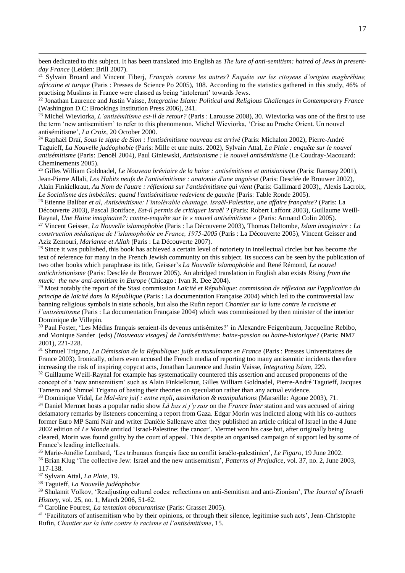been dedicated to this subject. It has been translated into English as *The lure of anti-semitism: hatred of Jews in presentday France* (Leiden: Brill 2007).

<sup>21</sup> Sylvain Broard and Vincent Tiberj, *Français comme les autres? Enquête sur les citoyens d'origine maghrébine, africaine et turque* (Paris : Presses de Science Po 2005), 108. According to the statistics gathered in this study, 46% of practising Muslims in France were classed as being 'intolerant' towards Jews.

<sup>22</sup> Jonathan Laurence and Justin Vaisse, *Integratine Islam: Political and Religious Challenges in Contemporary France* (Washington D.C: Brookings Institution Press 2006), 241.

<sup>23</sup> Michel Wieviorka, *L'antisémitisme est-il de retour?* (Paris : Larousse 2008), 30. Wieviorka was one of the first to use the term 'new antisemitism' to refer to this phenomenon. Michel Wieviorka, 'Crise au Proche Orient. Un nouvel antisémitisme', *La Croix*, 20 October 2000.

<sup>24</sup> Raphaël Draï, *Sous le signe de Sion : l'antisémitisme nouveau est arrivé* (Paris: Michalon 2002), Pierre-André Taguieff, *La Nouvelle judéophobie* (Paris: Mille et une nuits. 2002), Sylvain Attal, *La Plaie : enquête sur le nouvel antisémitisme* (Paris: Denoël 2004), Paul Giniewski, *Antisionisme : le nouvel antisémitisme* (Le Coudray-Macouard: Cheminements 2005).

<sup>25</sup> Gilles William Goldnadel, *Le Nouveau bréviaire de la haine : antisémitisme et antisionisme* (Paris: Ramsay 2001), Jean-Pierre Allali, *Les Habits neufs de l'antisémitisme : anatomie d'une angoisse* (Paris: Desclée de Brouwer 2002), Alain Finkielkraut, *Au Nom de l'autre : réflexions sur l'antisémitisme qui vient* (Paris: Gallimard 2003),, Alexis Lacroix, Le Socialisme des imbéciles: quand l'antisémitisme redevient de gauche (Paris: Table Ronde 2005).

<sup>26</sup> Etienne Balibar *et al*, *Antisémitisme: l'intolérable chantage. Israël-Palestine, une affaire française?* (Paris: La Découverte 2003), Pascal Boniface, *Est-il permis de critiquer Israël ?* (Paris: Robert Laffont 2003), Guillaume Weill-Raynal, *Une Haine imaginaire?: contre-enquête sur le « nouvel antisémitisme »* (Paris: Armand Colin 2005).

<sup>27</sup> Vincent Geisser, *La Nouvelle islamophobie* (Paris : La Découverte 2003), Thomas Deltombe, *Islam imaginaire : La construction médiatique de l'islamophobie en France, 1975-2005* (Paris : La Découverte 2005), Vincent Geisser and Aziz Zemouri, *Marianne et Allah* (Paris : La Découverte 2007).

<sup>28</sup> Since it was published, this book has achieved a certain level of notoriety in intellectual circles but has become *the* text of reference for many in the French Jewish community on this subject. Its success can be seen by the publication of two other books which paraphrase its title, Geisser's *La Nouvelle islamophobie* and René Rémond, *Le nouvel antichristianisme* (Paris: Desclée de Brouwer 2005). An abridged translation in English also exists *Rising from the muck: the new anti-semitism in Europe* (Chicago : Ivan R. Dee 2004).

<sup>29</sup> Most notably the report of the Stasi commission *Laïcité et République: commission de réflexion sur l'application du principe de laïcité dans la République* (Paris : La documentation Française 2004) which led to the controversial law banning religious symbols in state schools, but also the Rufin report *Chantier sur la lutte contre le racisme et l'antisémitisme* (Paris : La documentation Française 2004) which was commissioned by then minister of the interior Dominique de Villepin.

<sup>30</sup> Paul Foster, 'Les Médias français seraient-ils devenus antisémites?' in Alexandre Feigenbaum, Jacqueline Rebibo, and Monique Sander (eds) *[Nouveaux visages] de l'antisémitisme: haine-passion ou haine-historique?* (Paris: NM7 2001), 221-228.

<sup>31</sup> Shmuel Trigano, *La Démission de la République: juifs et musulmans en France* (Paris : Presses Universitaires de France 2003). Ironically, others even accused the French media of reporting too many antisemitic incidents therefore increasing the risk of inspiring copycat acts, Jonathan Laurence and Justin Vaisse, *Integrating Islam*, 229.

<sup>32</sup> Guillaume Weill-Raynal for example has systematically countered this assertion and accused proponents of the concept of a 'new antisemitism' such as Alain Finkielkraut, Gilles William Goldnadel, Pierre-André Taguieff, Jacques Tarnero and Shmuel Trigano of basing their theories on speculation rather than any actual evidence.

<sup>33</sup> Dominique Vidal, *Le Mal-être juif : entre repli, assimilation & manipulations* (Marseille: Agone 2003), 71.

<sup>34</sup> Daniel Mermet hosts a popular radio show *Là bas si j'y suis* on the *France Inter* station and was accused of airing defamatory remarks by listeners concerning a report from Gaza. Edgar Morin was indicted along with his co-authors former Euro MP Sami Naïr and writer Danièle Sallenave after they published an article critical of Israel in the 4 June 2002 edition of *Le Monde* entitled 'Israel-Palestine: the cancer'. Mermet won his case but, after originally being cleared, Morin was found guilty by the court of appeal. This despite an organised campaign of support led by some of France's leading intellectuals.

<sup>35</sup> Marie-Amélie Lombard, 'Les tribunaux français face au conflit israélo-palestinien', *Le Figaro*, 19 June 2002. <sup>36</sup> Brian Klug 'The collective Jew: Israel and the new antisemitism', *Patterns of Prejudice*, vol. 37, no. 2, June 2003, 117-138.

<sup>37</sup> Sylvain Attal, *La Plaie*, 19.

<u>.</u>

<sup>38</sup> Taguieff, *La Nouvelle judéophobie* 

<sup>39</sup> Shulamit Volkov, 'Readjusting cultural codes: reflections on anti-Semitism and anti-Zionism', *The Journal of Israeli History*, vol. 25, no. 1, March 2006, 51-62.

<sup>40</sup> Caroline Fourest, *La tentation obscurantiste* (Paris: Grasset 2005).

<sup>41</sup> 'Facilitators of antisemitism who by their opinions, or through their silence, legitimise such acts', Jean-Christophe Rufin, *Chantier sur la lutte contre le racisme et l'antisémitisme*, 15.